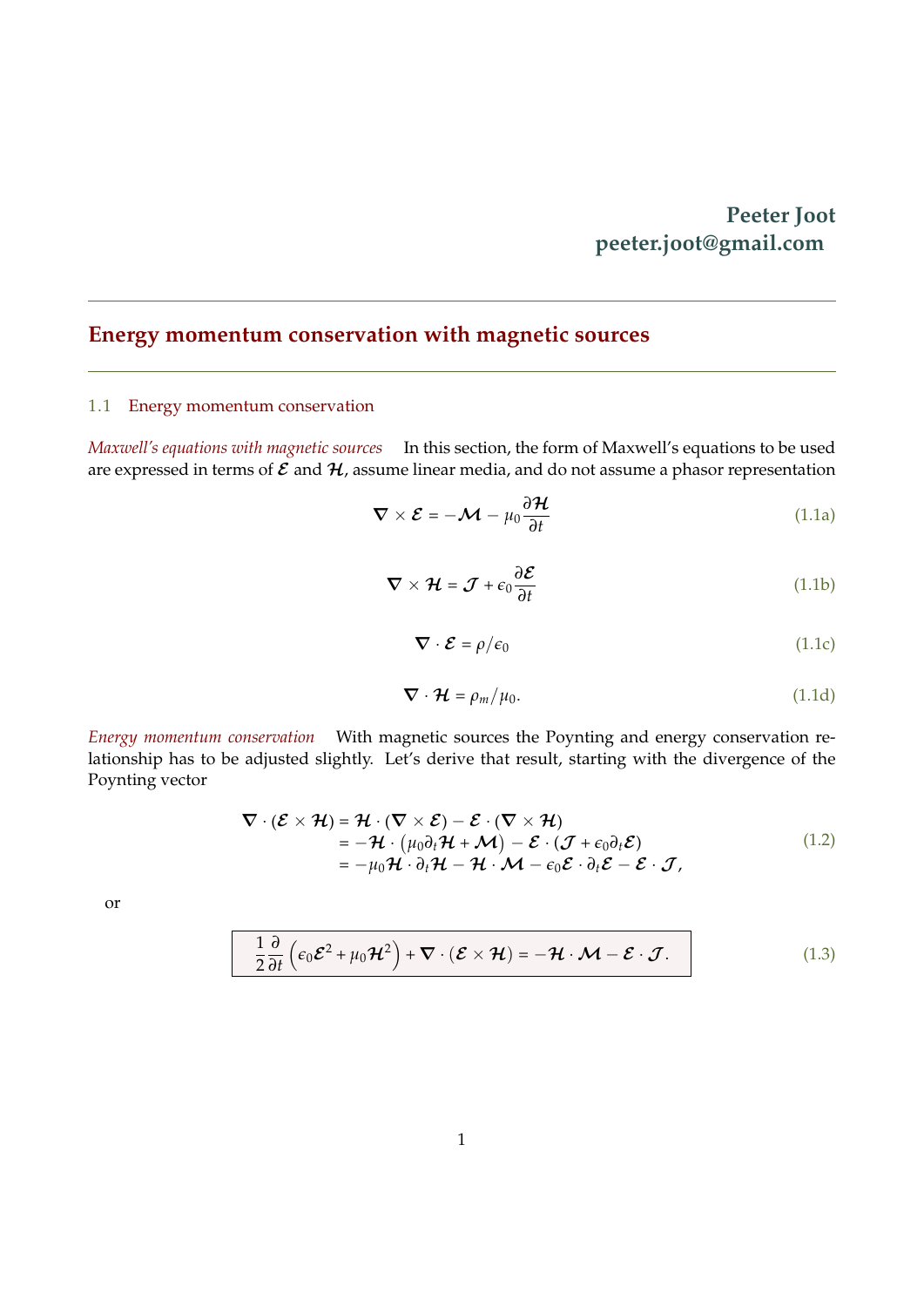### **Peeter Joot peeter.joot@gmail.com**

# **Energy momentum conservation with magnetic sources**

### 1.1 Energy momentum conservation

*Maxwell's equations with magnetic sources* In this section, the form of Maxwell's equations to be used are expressed in terms of  $\mathcal E$  and  $\mathcal H$ , assume linear media, and do not assume a phasor representation

$$
\nabla \times \mathcal{E} = -\mathcal{M} - \mu_0 \frac{\partial \mathcal{H}}{\partial t}
$$
 (1.1a)

$$
\nabla \times \mathcal{H} = \mathcal{J} + \epsilon_0 \frac{\partial \mathcal{E}}{\partial t}
$$
 (1.1b)

$$
\nabla \cdot \mathcal{E} = \rho/\epsilon_0 \tag{1.1c}
$$

<span id="page-0-1"></span><span id="page-0-0"></span>
$$
\nabla \cdot \mathcal{H} = \rho_m / \mu_0. \tag{1.1d}
$$

*Energy momentum conservation* With magnetic sources the Poynting and energy conservation relationship has to be adjusted slightly. Let's derive that result, starting with the divergence of the Poynting vector

$$
\nabla \cdot (\mathcal{E} \times \mathcal{H}) = \mathcal{H} \cdot (\nabla \times \mathcal{E}) - \mathcal{E} \cdot (\nabla \times \mathcal{H})
$$
  
=  $-\mathcal{H} \cdot (\mu_0 \partial_t \mathcal{H} + \mathcal{M}) - \mathcal{E} \cdot (\mathcal{J} + \epsilon_0 \partial_t \mathcal{E})$   
=  $-\mu_0 \mathcal{H} \cdot \partial_t \mathcal{H} - \mathcal{H} \cdot \mathcal{M} - \epsilon_0 \mathcal{E} \cdot \partial_t \mathcal{E} - \mathcal{E} \cdot \mathcal{J},$  (1.2)

or

$$
\frac{1}{2}\frac{\partial}{\partial t}\left(\epsilon_0 \mathcal{E}^2 + \mu_0 \mathcal{H}^2\right) + \nabla \cdot (\mathcal{E} \times \mathcal{H}) = -\mathcal{H} \cdot \mathcal{M} - \mathcal{E} \cdot \mathcal{J}.
$$
 (1.3)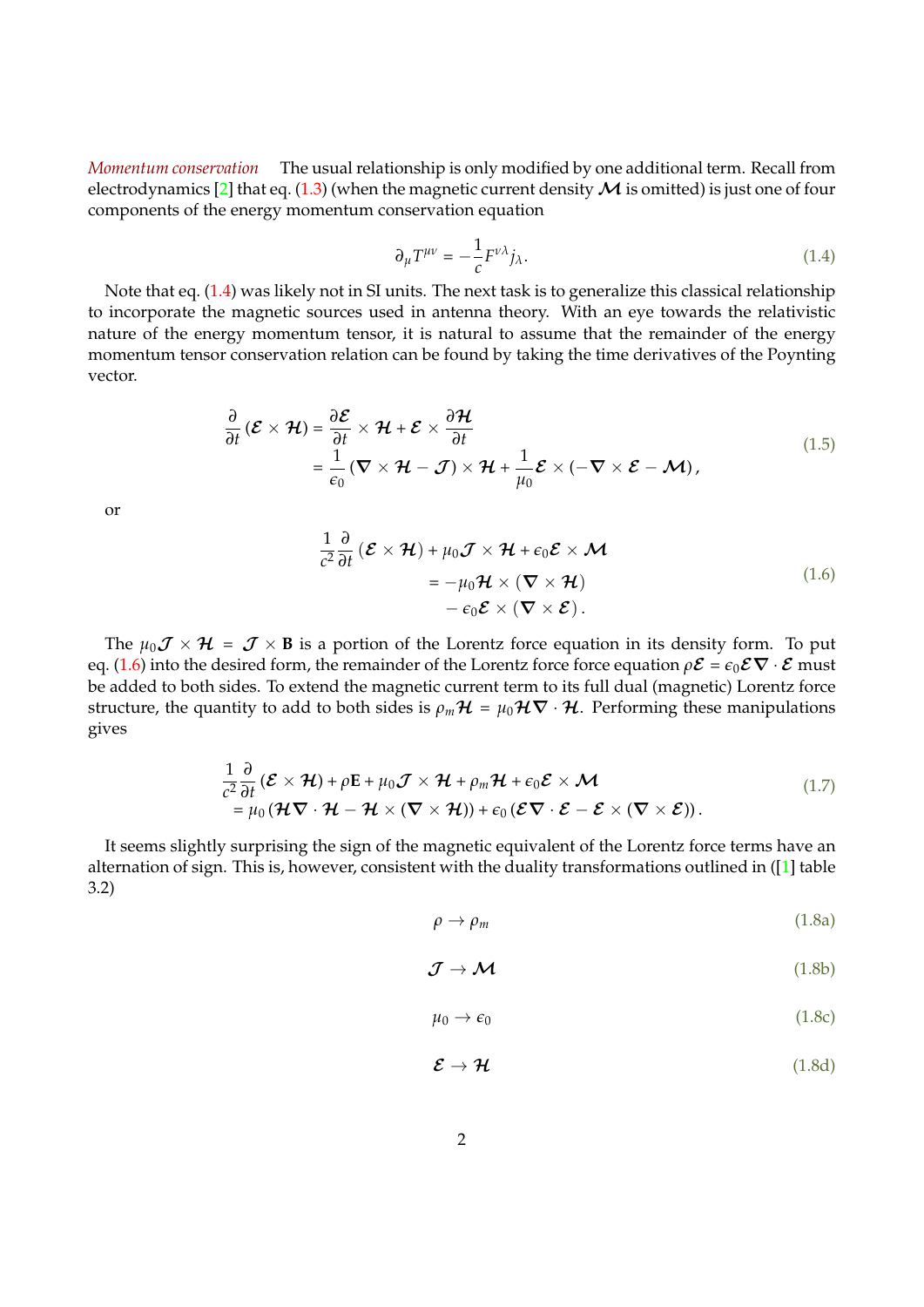*Momentum conservation* The usual relationship is only modified by one additional term. Recall from electrodynamics [\[2\]](#page-5-0) that eq. [\(1.3\)](#page-0-0) (when the magnetic current density  $\mathcal M$  is omitted) is just one of four components of the energy momentum conservation equation

<span id="page-1-0"></span>
$$
\partial_{\mu}T^{\mu\nu} = -\frac{1}{c}F^{\nu\lambda}j_{\lambda}.\tag{1.4}
$$

Note that eq. [\(1.4\)](#page-1-0) was likely not in SI units. The next task is to generalize this classical relationship to incorporate the magnetic sources used in antenna theory. With an eye towards the relativistic nature of the energy momentum tensor, it is natural to assume that the remainder of the energy momentum tensor conservation relation can be found by taking the time derivatives of the Poynting vector.

$$
\frac{\partial}{\partial t}(\mathcal{E}\times\mathcal{H}) = \frac{\partial \mathcal{E}}{\partial t}\times\mathcal{H} + \mathcal{E}\times\frac{\partial\mathcal{H}}{\partial t} \n= \frac{1}{\epsilon_0}(\nabla\times\mathcal{H} - \mathcal{J})\times\mathcal{H} + \frac{1}{\mu_0}\mathcal{E}\times(-\nabla\times\mathcal{E} - \mathcal{M}),
$$
\n(1.5)

or

$$
\frac{1}{c^2} \frac{\partial}{\partial t} (\mathcal{E} \times \mathcal{H}) + \mu_0 \mathcal{J} \times \mathcal{H} + \epsilon_0 \mathcal{E} \times \mathcal{M}
$$
  
=  $-\mu_0 \mathcal{H} \times (\nabla \times \mathcal{H})$   
 $- \epsilon_0 \mathcal{E} \times (\nabla \times \mathcal{E}).$  (1.6)

The  $\mu_0 \mathcal{J} \times \mathcal{H} = \mathcal{J} \times \mathbf{B}$  is a portion of the Lorentz force equation in its density form. To put eq. [\(1.6\)](#page-1-0) into the desired form, the remainder of the Lorentz force force equation  $\rho \mathcal{E} = \epsilon_0 \mathcal{E} \nabla \cdot \mathcal{E}$  must be added to both sides. To extend the magnetic current term to its full dual (magnetic) Lorentz force structure, the quantity to add to both sides is  $\rho_m \mathcal{H} = \mu_0 \mathcal{H} \nabla \cdot \mathcal{H}$ . Performing these manipulations gives

$$
\frac{1}{c^2} \frac{\partial}{\partial t} (\mathcal{E} \times \mathcal{H}) + \rho \mathbf{E} + \mu_0 \mathcal{J} \times \mathcal{H} + \rho_m \mathcal{H} + \epsilon_0 \mathcal{E} \times \mathcal{M} \n= \mu_0 (\mathcal{H} \nabla \cdot \mathcal{H} - \mathcal{H} \times (\nabla \times \mathcal{H})) + \epsilon_0 (\mathcal{E} \nabla \cdot \mathcal{E} - \mathcal{E} \times (\nabla \times \mathcal{E})).
$$
\n(1.7)

It seems slightly surprising the sign of the magnetic equivalent of the Lorentz force terms have an alternation of sign. This is, however, consistent with the duality transformations outlined in ([\[1\]](#page-5-1) table 3.2)

$$
\rho \to \rho_m \tag{1.8a}
$$

$$
\mathcal{J} \to \mathcal{M} \tag{1.8b}
$$

$$
\mu_0 \to \epsilon_0 \tag{1.8c}
$$

$$
\mathcal{E} \to \mathcal{H} \tag{1.8d}
$$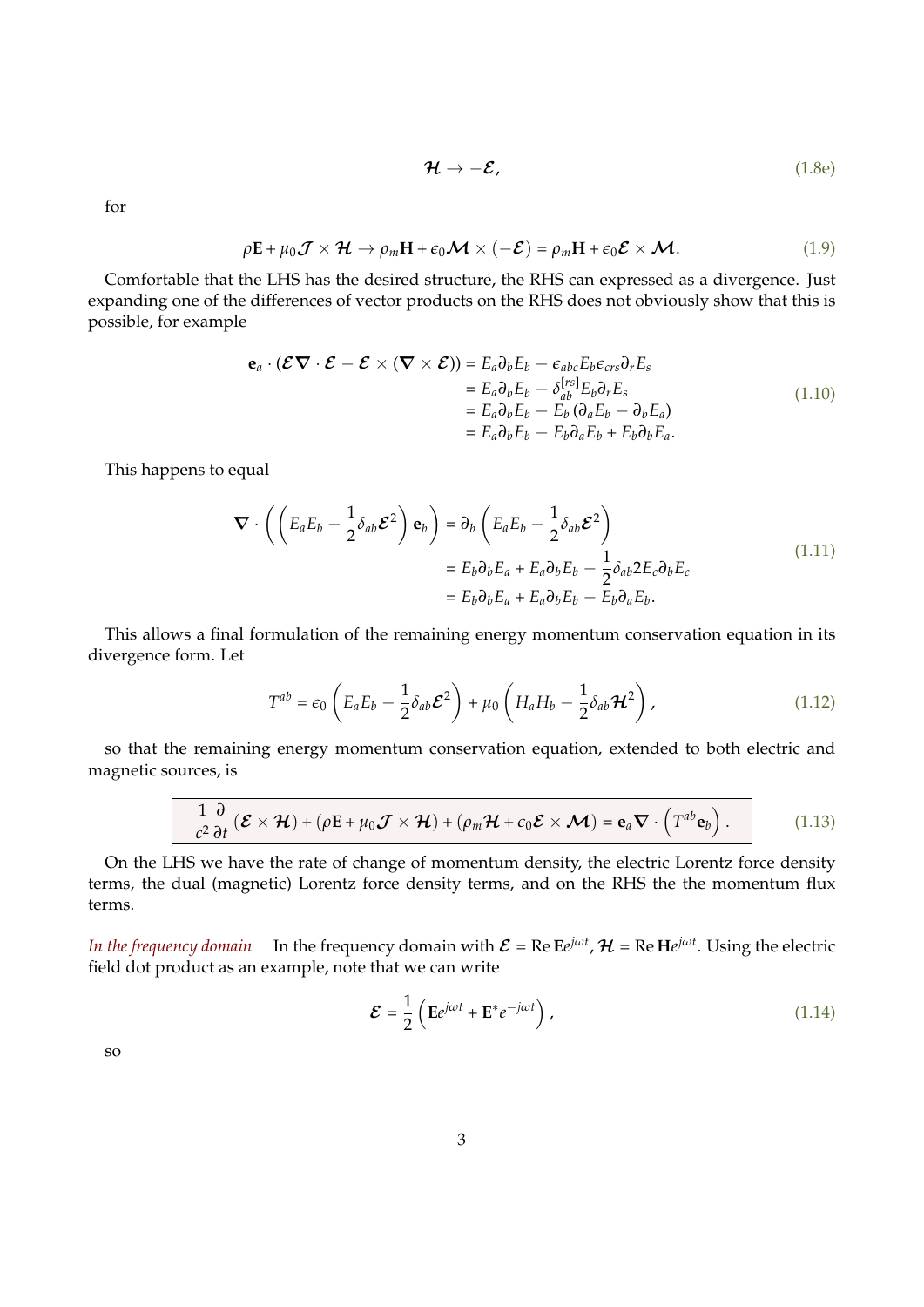$$
\mathcal{H} \to -\mathcal{E},\tag{1.8e}
$$

for

$$
\rho \mathbf{E} + \mu_0 \mathcal{J} \times \mathcal{H} \to \rho_m \mathbf{H} + \epsilon_0 \mathcal{M} \times (-\mathcal{E}) = \rho_m \mathbf{H} + \epsilon_0 \mathcal{E} \times \mathcal{M}.
$$
 (1.9)

Comfortable that the LHS has the desired structure, the RHS can expressed as a divergence. Just expanding one of the differences of vector products on the RHS does not obviously show that this is possible, for example

$$
\begin{aligned}\n\mathbf{e}_a \cdot (\mathcal{E} \nabla \cdot \mathcal{E} - \mathcal{E} \times (\nabla \times \mathcal{E})) &= E_a \partial_b E_b - \epsilon_{abc} E_b \epsilon_{crs} \partial_r E_s \\
&= E_a \partial_b E_b - \delta_{ab}^{[rs]} E_b \partial_r E_s \\
&= E_a \partial_b E_b - E_b (\partial_a E_b - \partial_b E_a) \\
&= E_a \partial_b E_b - E_b \partial_a E_b + E_b \partial_b E_a.\n\end{aligned} \tag{1.10}
$$

This happens to equal

$$
\nabla \cdot \left( \left( E_a E_b - \frac{1}{2} \delta_{ab} \mathcal{E}^2 \right) \mathbf{e}_b \right) = \partial_b \left( E_a E_b - \frac{1}{2} \delta_{ab} \mathcal{E}^2 \right)
$$
  
=  $E_b \partial_b E_a + E_a \partial_b E_b - \frac{1}{2} \delta_{ab} 2 E_c \partial_b E_c$   
=  $E_b \partial_b E_a + E_a \partial_b E_b - E_b \partial_a E_b.$  (1.11)

This allows a final formulation of the remaining energy momentum conservation equation in its divergence form. Let

$$
T^{ab} = \epsilon_0 \left( E_a E_b - \frac{1}{2} \delta_{ab} \mathcal{E}^2 \right) + \mu_0 \left( H_a H_b - \frac{1}{2} \delta_{ab} \mathcal{H}^2 \right), \qquad (1.12)
$$

so that the remaining energy momentum conservation equation, extended to both electric and magnetic sources, is

$$
\frac{1}{c^2}\frac{\partial}{\partial t}\left(\mathcal{E}\times\mathcal{H}\right)+\left(\rho\mathbf{E}+\mu_0\mathcal{J}\times\mathcal{H}\right)+\left(\rho_m\mathcal{H}+\epsilon_0\mathcal{E}\times\mathcal{M}\right)=\mathbf{e}_a\boldsymbol{\nabla}\cdot\left(T^{ab}\mathbf{e}_b\right).
$$
 (1.13)

On the LHS we have the rate of change of momentum density, the electric Lorentz force density terms, the dual (magnetic) Lorentz force density terms, and on the RHS the the momentum flux terms.

*In the frequency domain* In the frequency domain with  $\mathcal{E} = \mathrm{Re}\,\mathrm{E}e^{j\omega t}$ ,  $\mathcal{H} = \mathrm{Re}\,\mathrm{H}e^{j\omega t}$ . Using the electric field dot product as an example, note that we can write

$$
\mathcal{E} = \frac{1}{2} \left( \mathbf{E} e^{j\omega t} + \mathbf{E}^* e^{-j\omega t} \right), \tag{1.14}
$$

so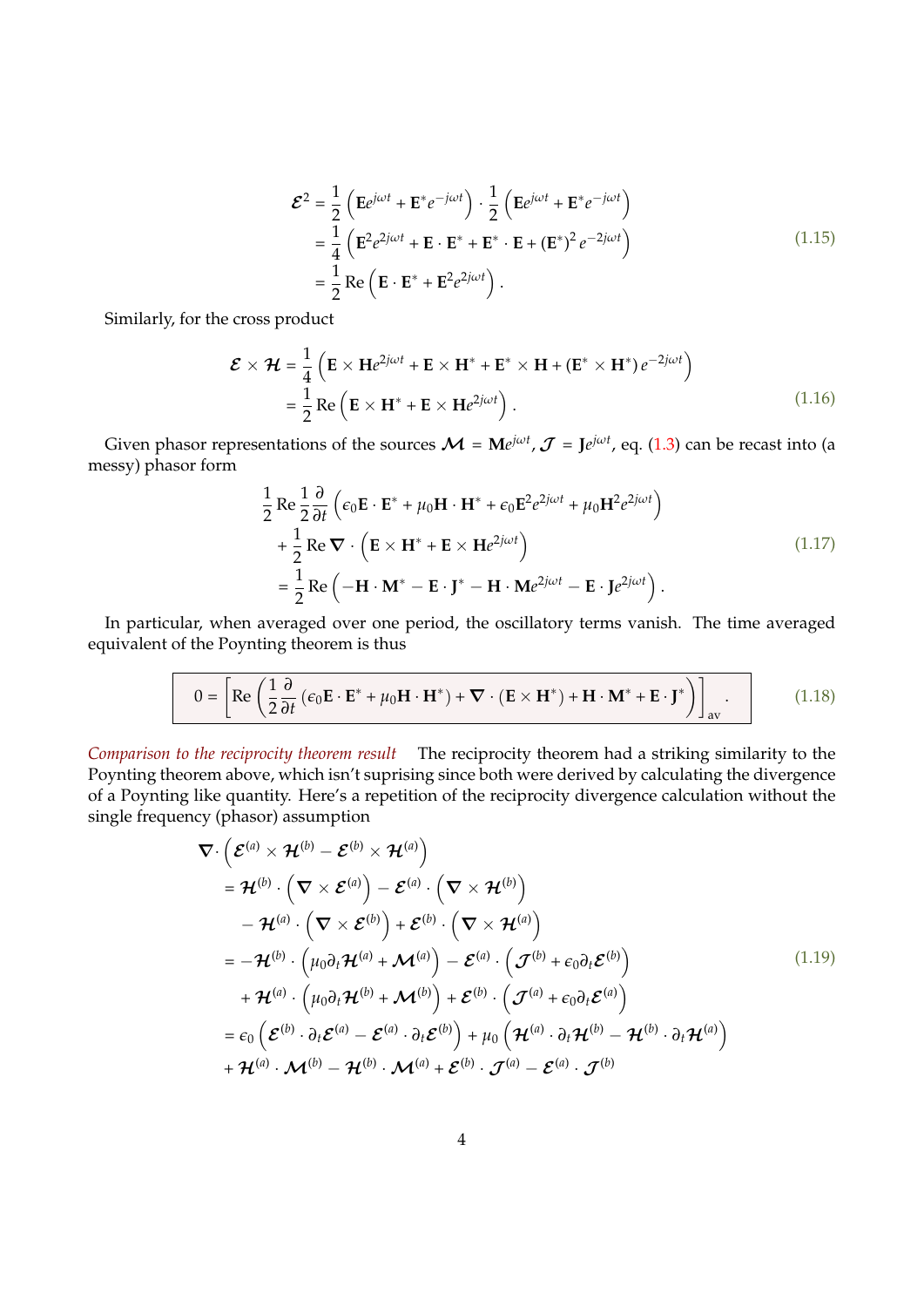$$
\mathcal{E}^{2} = \frac{1}{2} \left( \mathbf{E} e^{j\omega t} + \mathbf{E}^{*} e^{-j\omega t} \right) \cdot \frac{1}{2} \left( \mathbf{E} e^{j\omega t} + \mathbf{E}^{*} e^{-j\omega t} \right)
$$
  
=\frac{1}{4} \left( \mathbf{E}^{2} e^{2j\omega t} + \mathbf{E} \cdot \mathbf{E}^{\*} + \mathbf{E}^{\*} \cdot \mathbf{E} + (\mathbf{E}^{\*})^{2} e^{-2j\omega t} \right)   
=\frac{1}{2} \text{Re} \left( \mathbf{E} \cdot \mathbf{E}^{\*} + \mathbf{E}^{2} e^{2j\omega t} \right). \tag{1.15}

Similarly, for the cross product

$$
\mathcal{E} \times \mathcal{H} = \frac{1}{4} \left( \mathbf{E} \times \mathbf{H} e^{2j\omega t} + \mathbf{E} \times \mathbf{H}^* + \mathbf{E}^* \times \mathbf{H} + (\mathbf{E}^* \times \mathbf{H}^*) e^{-2j\omega t} \right)
$$
  
=  $\frac{1}{2} \text{Re} \left( \mathbf{E} \times \mathbf{H}^* + \mathbf{E} \times \mathbf{H} e^{2j\omega t} \right).$  (1.16)

Given phasor representations of the sources  $\mathcal{M} = M e^{j\omega t}$ ,  $\mathcal{J} = J e^{j\omega t}$ , eq. [\(1.3\)](#page-0-0) can be recast into (a messy) phasor form

$$
\frac{1}{2} \text{Re} \frac{1}{2} \frac{\partial}{\partial t} \left( \epsilon_0 \mathbf{E} \cdot \mathbf{E}^* + \mu_0 \mathbf{H} \cdot \mathbf{H}^* + \epsilon_0 \mathbf{E}^2 e^{2j\omega t} + \mu_0 \mathbf{H}^2 e^{2j\omega t} \right) \n+ \frac{1}{2} \text{Re} \nabla \cdot \left( \mathbf{E} \times \mathbf{H}^* + \mathbf{E} \times \mathbf{H} e^{2j\omega t} \right) \n= \frac{1}{2} \text{Re} \left( -\mathbf{H} \cdot \mathbf{M}^* - \mathbf{E} \cdot \mathbf{J}^* - \mathbf{H} \cdot \mathbf{M} e^{2j\omega t} - \mathbf{E} \cdot \mathbf{J} e^{2j\omega t} \right).
$$
\n(1.17)

In particular, when averaged over one period, the oscillatory terms vanish. The time averaged equivalent of the Poynting theorem is thus

$$
0 = \left[ \text{Re} \left( \frac{1}{2} \frac{\partial}{\partial t} \left( \epsilon_0 \mathbf{E} \cdot \mathbf{E}^* + \mu_0 \mathbf{H} \cdot \mathbf{H}^* \right) + \nabla \cdot (\mathbf{E} \times \mathbf{H}^*) + \mathbf{H} \cdot \mathbf{M}^* + \mathbf{E} \cdot \mathbf{J}^* \right) \right]_{\text{av}} . \tag{1.18}
$$

*Comparison to the reciprocity theorem result* The reciprocity theorem had a striking similarity to the Poynting theorem above, which isn't suprising since both were derived by calculating the divergence of a Poynting like quantity. Here's a repetition of the reciprocity divergence calculation without the single frequency (phasor) assumption

$$
\nabla \cdot \left( \mathcal{E}^{(a)} \times \mathcal{H}^{(b)} - \mathcal{E}^{(b)} \times \mathcal{H}^{(a)} \right)
$$
\n
$$
= \mathcal{H}^{(b)} \cdot \left( \nabla \times \mathcal{E}^{(a)} \right) - \mathcal{E}^{(a)} \cdot \left( \nabla \times \mathcal{H}^{(b)} \right)
$$
\n
$$
- \mathcal{H}^{(a)} \cdot \left( \nabla \times \mathcal{E}^{(b)} \right) + \mathcal{E}^{(b)} \cdot \left( \nabla \times \mathcal{H}^{(a)} \right)
$$
\n
$$
= - \mathcal{H}^{(b)} \cdot \left( \mu_0 \partial_t \mathcal{H}^{(a)} + \mathcal{M}^{(a)} \right) - \mathcal{E}^{(a)} \cdot \left( \mathcal{J}^{(b)} + \epsilon_0 \partial_t \mathcal{E}^{(b)} \right)
$$
\n
$$
+ \mathcal{H}^{(a)} \cdot \left( \mu_0 \partial_t \mathcal{H}^{(b)} + \mathcal{M}^{(b)} \right) + \mathcal{E}^{(b)} \cdot \left( \mathcal{J}^{(a)} + \epsilon_0 \partial_t \mathcal{E}^{(a)} \right)
$$
\n
$$
= \epsilon_0 \left( \mathcal{E}^{(b)} \cdot \partial_t \mathcal{E}^{(a)} - \mathcal{E}^{(a)} \cdot \partial_t \mathcal{E}^{(b)} \right) + \mu_0 \left( \mathcal{H}^{(a)} \cdot \partial_t \mathcal{H}^{(b)} - \mathcal{H}^{(b)} \cdot \partial_t \mathcal{H}^{(a)} \right)
$$
\n
$$
+ \mathcal{H}^{(a)} \cdot \mathcal{M}^{(b)} - \mathcal{H}^{(b)} \cdot \mathcal{M}^{(a)} + \mathcal{E}^{(b)} \cdot \mathcal{J}^{(a)} - \mathcal{E}^{(a)} \cdot \mathcal{J}^{(b)}
$$
\n
$$
(1.19)
$$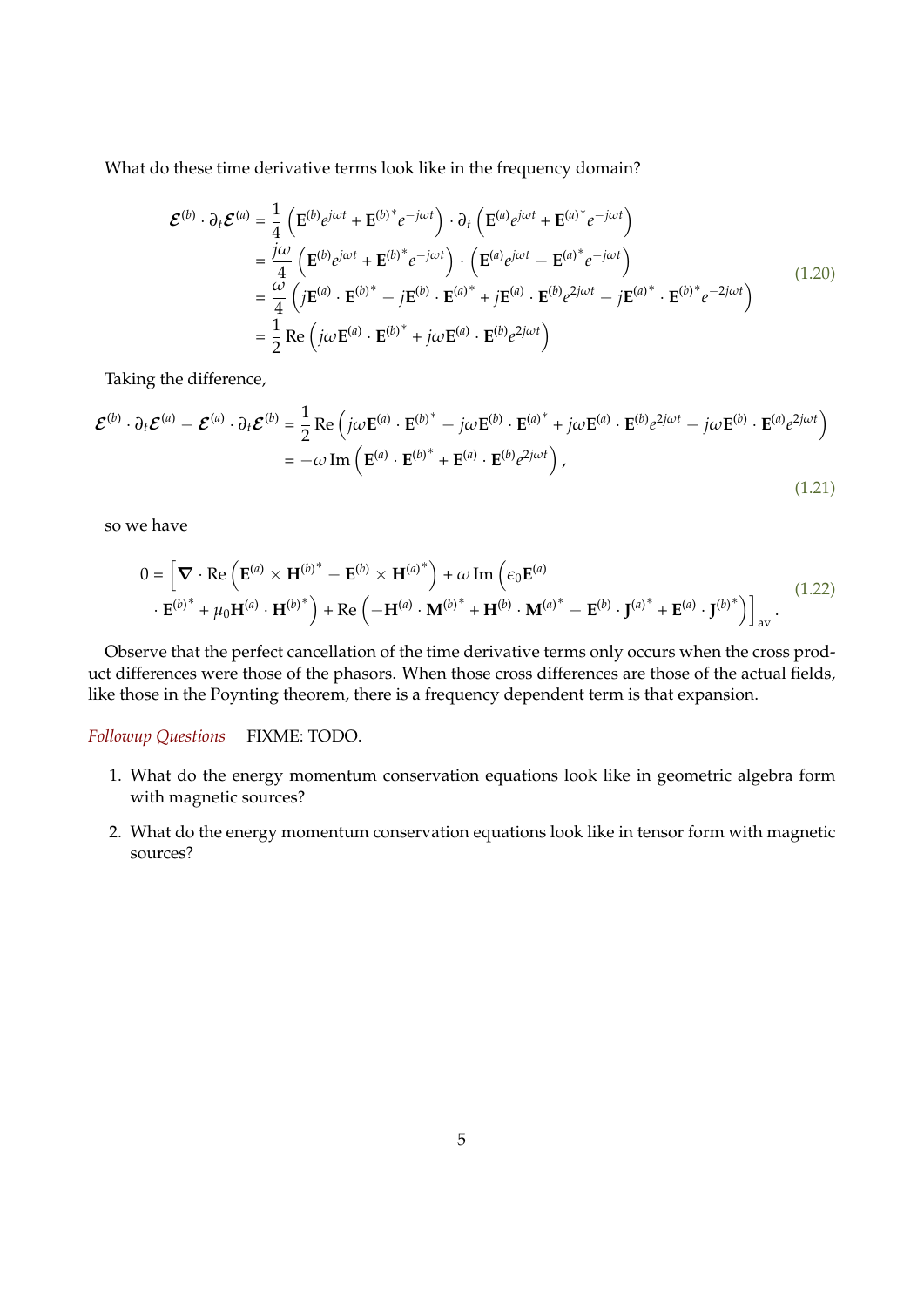What do these time derivative terms look like in the frequency domain?

$$
\mathcal{E}^{(b)} \cdot \partial_t \mathcal{E}^{(a)} = \frac{1}{4} \left( \mathbf{E}^{(b)} e^{j\omega t} + \mathbf{E}^{(b)^*} e^{-j\omega t} \right) \cdot \partial_t \left( \mathbf{E}^{(a)} e^{j\omega t} + \mathbf{E}^{(a)^*} e^{-j\omega t} \right)
$$
\n
$$
= \frac{j\omega}{4} \left( \mathbf{E}^{(b)} e^{j\omega t} + \mathbf{E}^{(b)^*} e^{-j\omega t} \right) \cdot \left( \mathbf{E}^{(a)} e^{j\omega t} - \mathbf{E}^{(a)^*} e^{-j\omega t} \right)
$$
\n
$$
= \frac{\omega}{4} \left( j \mathbf{E}^{(a)} \cdot \mathbf{E}^{(b)^*} - j \mathbf{E}^{(b)} \cdot \mathbf{E}^{(a)^*} + j \mathbf{E}^{(a)} \cdot \mathbf{E}^{(b)} e^{2j\omega t} - j \mathbf{E}^{(a)^*} \cdot \mathbf{E}^{(b)^*} e^{-2j\omega t} \right)
$$
\n
$$
= \frac{1}{2} \operatorname{Re} \left( j\omega \mathbf{E}^{(a)} \cdot \mathbf{E}^{(b)^*} + j\omega \mathbf{E}^{(a)} \cdot \mathbf{E}^{(b)} e^{2j\omega t} \right)
$$
\n(1.20)

Taking the difference,

$$
\mathcal{E}^{(b)} \cdot \partial_t \mathcal{E}^{(a)} - \mathcal{E}^{(a)} \cdot \partial_t \mathcal{E}^{(b)} = \frac{1}{2} \operatorname{Re} \left( j \omega \mathbf{E}^{(a)} \cdot \mathbf{E}^{(b)^*} - j \omega \mathbf{E}^{(b)} \cdot \mathbf{E}^{(a)^*} + j \omega \mathbf{E}^{(a)} \cdot \mathbf{E}^{(b)} e^{2j \omega t} - j \omega \mathbf{E}^{(b)} \cdot \mathbf{E}^{(a)} e^{2j \omega t} \right)
$$
  
=  $-\omega \operatorname{Im} \left( \mathbf{E}^{(a)} \cdot \mathbf{E}^{(b)^*} + \mathbf{E}^{(a)} \cdot \mathbf{E}^{(b)} e^{2j \omega t} \right),$  (1.21)

so we have

$$
0 = \left[ \nabla \cdot \text{Re} \left( \mathbf{E}^{(a)} \times \mathbf{H}^{(b)^*} - \mathbf{E}^{(b)} \times \mathbf{H}^{(a)^*} \right) + \omega \operatorname{Im} \left( \epsilon_0 \mathbf{E}^{(a)} \right) \right]_{\text{av}} + \mathbf{E}^{(b)^*} + \mu_0 \mathbf{H}^{(a)} \cdot \mathbf{H}^{(b)^*} + \operatorname{Re} \left( -\mathbf{H}^{(a)} \cdot \mathbf{M}^{(b)^*} + \mathbf{H}^{(b)} \cdot \mathbf{M}^{(a)^*} - \mathbf{E}^{(b)} \cdot \mathbf{J}^{(a)^*} + \mathbf{E}^{(a)} \cdot \mathbf{J}^{(b)^*} \right) \right]_{\text{av}} .
$$
\n(1.22)

Observe that the perfect cancellation of the time derivative terms only occurs when the cross product differences were those of the phasors. When those cross differences are those of the actual fields, like those in the Poynting theorem, there is a frequency dependent term is that expansion.

#### *Followup Questions* FIXME: TODO.

- 1. What do the energy momentum conservation equations look like in geometric algebra form with magnetic sources?
- 2. What do the energy momentum conservation equations look like in tensor form with magnetic sources?